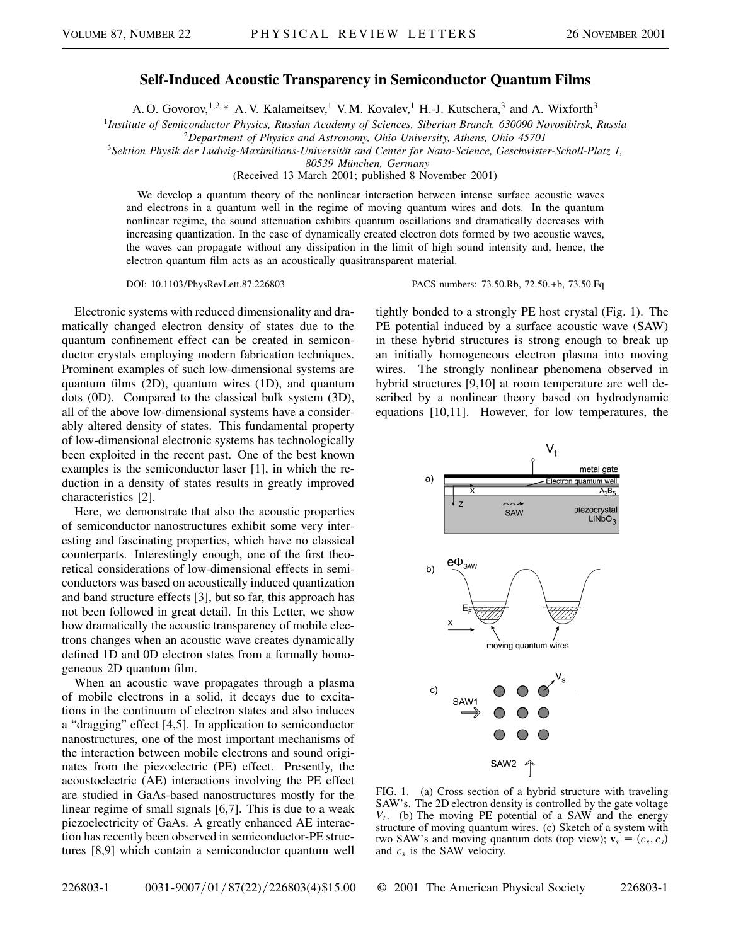## **Self-Induced Acoustic Transparency in Semiconductor Quantum Films**

A. O. Govorov,<sup>1,2,\*</sup> A. V. Kalameitsev,<sup>1</sup> V.M. Kovalev,<sup>1</sup> H.-J. Kutschera,<sup>3</sup> and A. Wixforth<sup>3</sup>

<sup>1</sup>*Institute of Semiconductor Physics, Russian Academy of Sciences, Siberian Branch, 630090 Novosibirsk, Russia*

<sup>2</sup>*Department of Physics and Astronomy, Ohio University, Athens, Ohio 45701*

<sup>3</sup>*Sektion Physik der Ludwig-Maximilians-Universität and Center for Nano-Science, Geschwister-Scholl-Platz 1,*

*80539 München, Germany*

(Received 13 March 2001; published 8 November 2001)

We develop a quantum theory of the nonlinear interaction between intense surface acoustic waves and electrons in a quantum well in the regime of moving quantum wires and dots. In the quantum nonlinear regime, the sound attenuation exhibits quantum oscillations and dramatically decreases with increasing quantization. In the case of dynamically created electron dots formed by two acoustic waves, the waves can propagate without any dissipation in the limit of high sound intensity and, hence, the electron quantum film acts as an acoustically quasitransparent material.

DOI: 10.1103/PhysRevLett.87.226803 PACS numbers: 73.50.Rb, 72.50.+b, 73.50.Fq

Electronic systems with reduced dimensionality and dramatically changed electron density of states due to the quantum confinement effect can be created in semiconductor crystals employing modern fabrication techniques. Prominent examples of such low-dimensional systems are quantum films (2D), quantum wires (1D), and quantum dots (0D). Compared to the classical bulk system (3D), all of the above low-dimensional systems have a considerably altered density of states. This fundamental property of low-dimensional electronic systems has technologically been exploited in the recent past. One of the best known examples is the semiconductor laser [1], in which the reduction in a density of states results in greatly improved characteristics [2].

Here, we demonstrate that also the acoustic properties of semiconductor nanostructures exhibit some very interesting and fascinating properties, which have no classical counterparts. Interestingly enough, one of the first theoretical considerations of low-dimensional effects in semiconductors was based on acoustically induced quantization and band structure effects [3], but so far, this approach has not been followed in great detail. In this Letter, we show how dramatically the acoustic transparency of mobile electrons changes when an acoustic wave creates dynamically defined 1D and 0D electron states from a formally homogeneous 2D quantum film.

When an acoustic wave propagates through a plasma of mobile electrons in a solid, it decays due to excitations in the continuum of electron states and also induces a "dragging" effect [4,5]. In application to semiconductor nanostructures, one of the most important mechanisms of the interaction between mobile electrons and sound originates from the piezoelectric (PE) effect. Presently, the acoustoelectric (AE) interactions involving the PE effect are studied in GaAs-based nanostructures mostly for the linear regime of small signals [6,7]. This is due to a weak piezoelectricity of GaAs. A greatly enhanced AE interaction has recently been observed in semiconductor-PE structures [8,9] which contain a semiconductor quantum well tightly bonded to a strongly PE host crystal (Fig. 1). The PE potential induced by a surface acoustic wave (SAW) in these hybrid structures is strong enough to break up an initially homogeneous electron plasma into moving wires. The strongly nonlinear phenomena observed in hybrid structures [9,10] at room temperature are well described by a nonlinear theory based on hydrodynamic equations [10,11]. However, for low temperatures, the



FIG. 1. (a) Cross section of a hybrid structure with traveling SAW's. The 2D electron density is controlled by the gate voltage *Vt*. (b) The moving PE potential of a SAW and the energy structure of moving quantum wires. (c) Sketch of a system with two SAW's and moving quantum dots (top view);  $\mathbf{v}_s = (c_s, c_s)$ and  $c_s$  is the SAW velocity.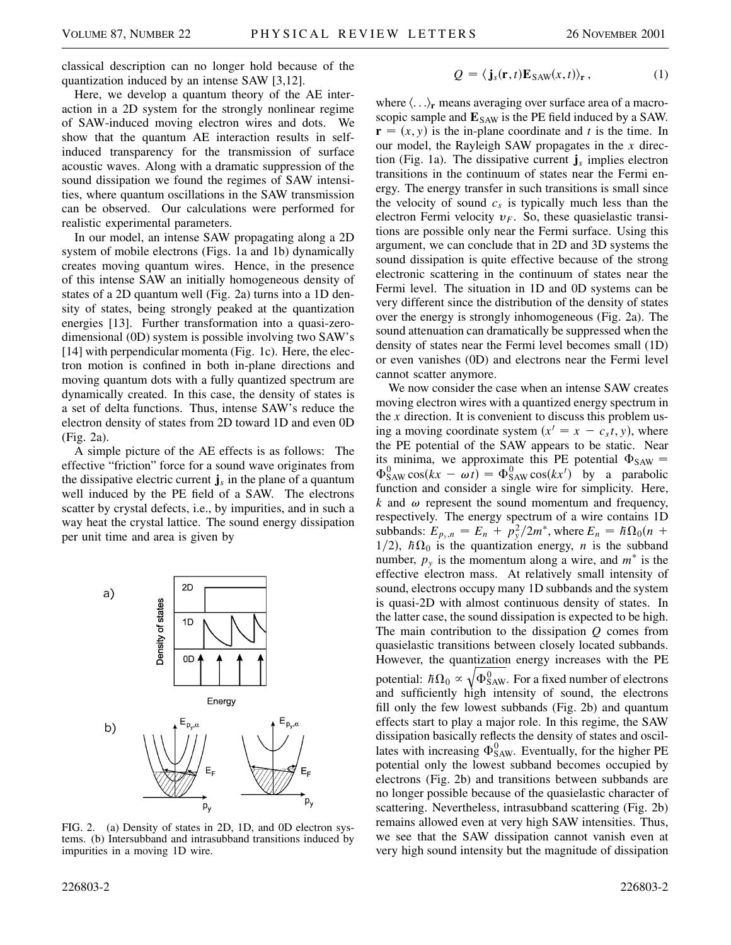classical description can no longer hold because of the quantization induced by an intense SAW [3,12].

Here, we develop a quantum theory of the AE interaction in a 2D system for the strongly nonlinear regime of SAW-induced moving electron wires and dots. We show that the quantum AE interaction results in selfinduced transparency for the transmission of surface acoustic waves. Along with a dramatic suppression of the sound dissipation we found the regimes of SAW intensities, where quantum oscillations in the SAW transmission can be observed. Our calculations were performed for realistic experimental parameters.

In our model, an intense SAW propagating along a 2D system of mobile electrons (Figs. 1a and 1b) dynamically creates moving quantum wires. Hence, in the presence of this intense SAW an initially homogeneous density of states of a 2D quantum well (Fig. 2a) turns into a 1D density of states, being strongly peaked at the quantization energies [13]. Further transformation into a quasi-zerodimensional (0D) system is possible involving two SAW's [14] with perpendicular momenta (Fig. 1c). Here, the electron motion is confined in both in-plane directions and moving quantum dots with a fully quantized spectrum are dynamically created. In this case, the density of states is a set of delta functions. Thus, intense SAW's reduce the electron density of states from 2D toward 1D and even 0D (Fig. 2a).

A simple picture of the AE effects is as follows: The effective "friction" force for a sound wave originates from the dissipative electric current  $\mathbf{j}_s$  in the plane of a quantum well induced by the PE field of a SAW. The electrons scatter by crystal defects, i.e., by impurities, and in such a way heat the crystal lattice. The sound energy dissipation per unit time and area is given by



FIG. 2. (a) Density of states in 2D, 1D, and 0D electron systems. (b) Intersubband and intrasubband transitions induced by impurities in a moving 1D wire.

$$
Q = \langle \mathbf{j}_s(\mathbf{r}, t) \mathbf{E}_{SAW}(x, t) \rangle_{\mathbf{r}}, \qquad (1)
$$

where  $\langle \ldots \rangle_r$  means averaging over surface area of a macroscopic sample and  $E_{SAW}$  is the PE field induced by a SAW.  $\mathbf{r} = (x, y)$  is the in-plane coordinate and *t* is the time. In our model, the Rayleigh SAW propagates in the *x* direction (Fig. 1a). The dissipative current **j***<sup>s</sup>* implies electron transitions in the continuum of states near the Fermi energy. The energy transfer in such transitions is small since the velocity of sound  $c_s$  is typically much less than the electron Fermi velocity  $v_F$ . So, these quasielastic transitions are possible only near the Fermi surface. Using this argument, we can conclude that in 2D and 3D systems the sound dissipation is quite effective because of the strong electronic scattering in the continuum of states near the Fermi level. The situation in 1D and 0D systems can be very different since the distribution of the density of states over the energy is strongly inhomogeneous (Fig. 2a). The sound attenuation can dramatically be suppressed when the density of states near the Fermi level becomes small (1D) or even vanishes (0D) and electrons near the Fermi level cannot scatter anymore.

We now consider the case when an intense SAW creates moving electron wires with a quantized energy spectrum in the *x* direction. It is convenient to discuss this problem using a moving coordinate system  $(x^{\prime} = x - c_s t, y)$ , where the PE potential of the SAW appears to be static. Near its minima, we approximate this PE potential  $\Phi_{SAW}$  =  $\Phi_{SAW}^{0}$  cos(kx -  $\omega t$ ) =  $\Phi_{SAW}^{0}$  cos(kx') by a parabolic function and consider a single wire for simplicity. Here,  $k$  and  $\omega$  represent the sound momentum and frequency, respectively. The energy spectrum of a wire contains 1D subbands:  $E_{p_y,n} = E_n + p_y^2/2m^*$ , where  $E_n = \hbar \Omega_0 (n +$  $1/2$ ,  $\hbar\Omega_0$  is the quantization energy, *n* is the subband number,  $p_v$  is the momentum along a wire, and  $m^*$  is the effective electron mass. At relatively small intensity of sound, electrons occupy many 1D subbands and the system is quasi-2D with almost continuous density of states. In the latter case, the sound dissipation is expected to be high. The main contribution to the dissipation *Q* comes from quasielastic transitions between closely located subbands. However, the quantization energy increases with the PE potential:  $\hbar\Omega_0 \propto \sqrt{\Phi_{\rm SAW}^0}$ . For a fixed number of electrons and sufficiently high intensity of sound, the electrons fill only the few lowest subbands (Fig. 2b) and quantum effects start to play a major role. In this regime, the SAW dissipation basically reflects the density of states and oscillates with increasing  $\Phi_{SAW}^0$ . Eventually, for the higher PE potential only the lowest subband becomes occupied by electrons (Fig. 2b) and transitions between subbands are no longer possible because of the quasielastic character of scattering. Nevertheless, intrasubband scattering (Fig. 2b) remains allowed even at very high SAW intensities. Thus, we see that the SAW dissipation cannot vanish even at very high sound intensity but the magnitude of dissipation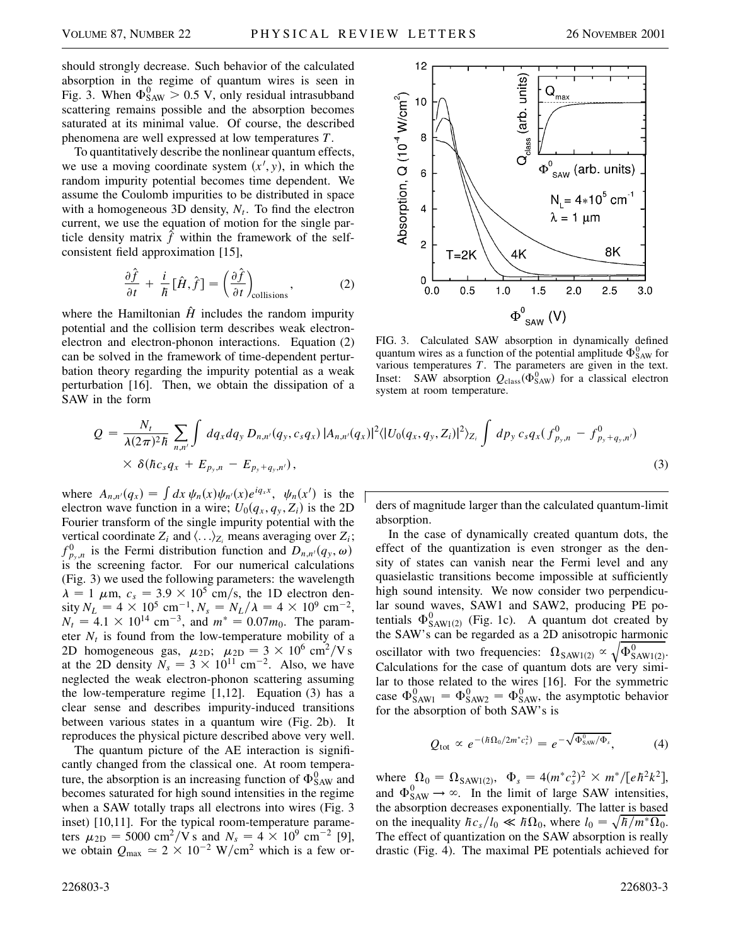should strongly decrease. Such behavior of the calculated absorption in the regime of quantum wires is seen in Fig. 3. When  $\Phi_{SAW}^0 > 0.5$  V, only residual intrasubband scattering remains possible and the absorption becomes saturated at its minimal value. Of course, the described phenomena are well expressed at low temperatures *T*.

To quantitatively describe the nonlinear quantum effects, we use a moving coordinate system  $(x', y)$ , in which the random impurity potential becomes time dependent. We assume the Coulomb impurities to be distributed in space with a homogeneous 3D density,  $N_t$ . To find the electron current, we use the equation of motion for the single particle density matrix  $\hat{f}$  within the framework of the selfconsistent field approximation [15],

$$
\frac{\partial \hat{f}}{\partial t} + \frac{i}{\hbar} [\hat{H}, \hat{f}] = \left(\frac{\partial \hat{f}}{\partial t}\right)_{\text{collisions}},
$$
 (2)

where the Hamiltonian  $\hat{H}$  includes the random impurity potential and the collision term describes weak electronelectron and electron-phonon interactions. Equation (2) can be solved in the framework of time-dependent perturbation theory regarding the impurity potential as a weak perturbation [16]. Then, we obtain the dissipation of a SAW in the form



FIG. 3. Calculated SAW absorption in dynamically defined quantum wires as a function of the potential amplitude  $\Phi_{\text{SAW}}^0$  for various temperatures *T*. The parameters are given in the text. Inset: SAW absorption  $Q_{\text{class}}(\Phi_{\text{SAW}}^0)$  for a classical electron system at room temperature.

$$
Q = \frac{N_t}{\lambda(2\pi)^2\hbar} \sum_{n,n'} \int dq_x dq_y D_{n,n'}(q_y, c_s q_x) |A_{n,n'}(q_x)|^2 \langle |U_0(q_x, q_y, Z_i)|^2 \rangle_{Z_i} \int dp_y c_s q_x (f_{p_y,n}^0 - f_{p_y+q_y,n'}^0) \times \delta(\hbar c_s q_x + E_{p_y,n} - E_{p_y+q_y,n'}), \qquad (3)
$$

where  $A_{n,n'}(q_x) = \int dx \psi_n(x) \psi_{n'}(x) e^{iq_x x}, \psi_n(x')$  is the electron wave function in a wire;  $U_0(q_x, q_y, Z_i)$  is the 2D Fourier transform of the single impurity potential with the vertical coordinate  $Z_i$  and  $\langle \ldots \rangle_{Z_i}$  means averaging over  $Z_i$ ;  $f_{p_y,n}^0$  is the Fermi distribution function and  $D_{n,n'}(q_y, \omega)$  is the screening factor. For our numerical calculations (Fig. 3) we used the following parameters: the wavelength  $\lambda = 1$   $\mu$ m,  $c_s = 3.9 \times 10^5$  cm/s, the 1D electron density  $N_L = 4 \times 10^5$  cm<sup>-1</sup>,  $N_s = N_L/\lambda = 4 \times 10^9$  cm<sup>-2</sup>,  $N_t = 4.1 \times 10^{14}$  cm<sup>-3</sup>, and  $m^* = 0.07m_0$ . The parameter  $N_t$  is found from the low-temperature mobility of a 2D homogeneous gas,  $\mu_{2D}$ ;  $\mu_{2D} = 3 \times 10^6 \text{ cm}^2/\text{V s}$ at the 2D density  $N_s = 3 \times 10^{11}$  cm<sup>-2</sup>. Also, we have neglected the weak electron-phonon scattering assuming the low-temperature regime  $[1,12]$ . Equation  $(3)$  has a clear sense and describes impurity-induced transitions between various states in a quantum wire (Fig. 2b). It reproduces the physical picture described above very well.

The quantum picture of the AE interaction is significantly changed from the classical one. At room temperature, the absorption is an increasing function of  $\Phi_{SAW}^0$  and becomes saturated for high sound intensities in the regime when a SAW totally traps all electrons into wires (Fig. 3 inset) [10,11]. For the typical room-temperature parameters  $\mu_{2D} = 5000 \text{ cm}^2/\text{V s}$  and  $N_s = 4 \times 10^9 \text{ cm}^{-2}$  [9], we obtain  $Q_{\text{max}} \approx 2 \times 10^{-2} \text{ W/cm}^2$  which is a few orders of magnitude larger than the calculated quantum-limit absorption.

In the case of dynamically created quantum dots, the effect of the quantization is even stronger as the density of states can vanish near the Fermi level and any quasielastic transitions become impossible at sufficiently high sound intensity. We now consider two perpendicular sound waves, SAW1 and SAW2, producing PE potentials  $\Phi_{SAW1(2)}^0$  (Fig. 1c). A quantum dot created by the SAW's can be regarded as a 2D anisotropic harmonic oscillator with two frequencies:  $\Omega_{\text{SAW1}(2)} \propto \sqrt{\Phi_{\text{SAW1}(2)}^0}$ . Calculations for the case of quantum dots are very similar to those related to the wires [16]. For the symmetric case  $\Phi_{SAW1}^0 = \Phi_{SAW2}^0 = \Phi_{SAW}^0$ , the asymptotic behavior for the absorption of both SAW's is

$$
Q_{\text{tot}} \propto e^{-(\hbar\Omega_0/2m^*c_s^2)} = e^{-\sqrt{\Phi_{\text{SAW}}^0/\Phi_s}}, \tag{4}
$$

where  $\Omega_0 = \Omega_{\text{SAW1}(2)}$ ,  $\Phi_s = 4(m^*c_s^2)^2 \times m^* / [e\hbar^2 k^2]$ , and  $\Phi_{SAW}^{0} \rightarrow \infty$ . In the limit of large SAW intensities, the absorption decreases exponentially. The latter is based on the inequality  $\hbar c_s/l_0 \ll \hbar\Omega_0$ , where  $l_0 = \sqrt{\hbar/m^* \Omega_0}$ . The effect of quantization on the SAW absorption is really drastic (Fig. 4). The maximal PE potentials achieved for